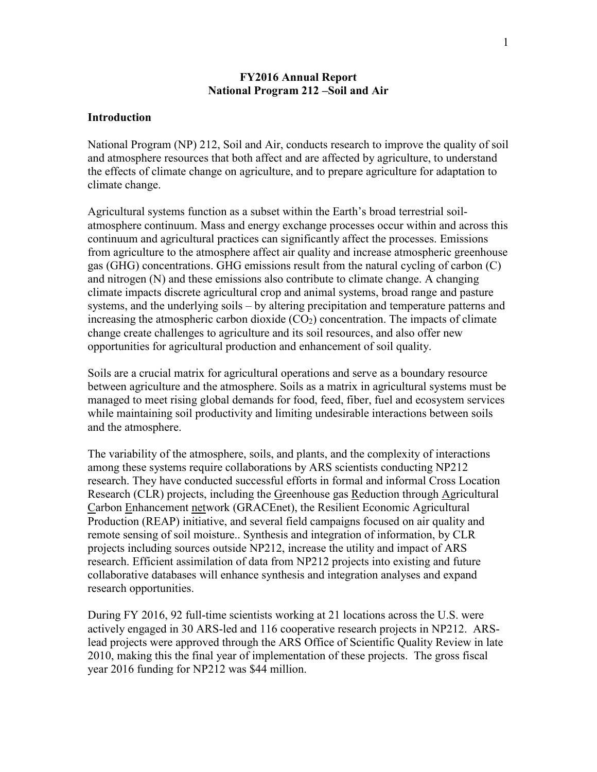### **FY2016 Annual Report National Program 212 –Soil and Air**

### **Introduction**

National Program (NP) 212, Soil and Air, conducts research to improve the quality of soil and atmosphere resources that both affect and are affected by agriculture, to understand the effects of climate change on agriculture, and to prepare agriculture for adaptation to climate change.

Agricultural systems function as a subset within the Earth's broad terrestrial soilatmosphere continuum. Mass and energy exchange processes occur within and across this continuum and agricultural practices can significantly affect the processes. Emissions from agriculture to the atmosphere affect air quality and increase atmospheric greenhouse gas (GHG) concentrations. GHG emissions result from the natural cycling of carbon (C) and nitrogen (N) and these emissions also contribute to climate change. A changing climate impacts discrete agricultural crop and animal systems, broad range and pasture systems, and the underlying soils – by altering precipitation and temperature patterns and increasing the atmospheric carbon dioxide  $(CO<sub>2</sub>)$  concentration. The impacts of climate change create challenges to agriculture and its soil resources, and also offer new opportunities for agricultural production and enhancement of soil quality.

Soils are a crucial matrix for agricultural operations and serve as a boundary resource between agriculture and the atmosphere. Soils as a matrix in agricultural systems must be managed to meet rising global demands for food, feed, fiber, fuel and ecosystem services while maintaining soil productivity and limiting undesirable interactions between soils and the atmosphere.

The variability of the atmosphere, soils, and plants, and the complexity of interactions among these systems require collaborations by ARS scientists conducting NP212 research. They have conducted successful efforts in formal and informal Cross Location Research (CLR) projects, including the Greenhouse gas Reduction through Agricultural Carbon Enhancement network (GRACEnet), the Resilient Economic Agricultural Production (REAP) initiative, and several field campaigns focused on air quality and remote sensing of soil moisture.. Synthesis and integration of information, by CLR projects including sources outside NP212, increase the utility and impact of ARS research. Efficient assimilation of data from NP212 projects into existing and future collaborative databases will enhance synthesis and integration analyses and expand research opportunities.

During FY 2016, 92 full-time scientists working at 21 locations across the U.S. were actively engaged in 30 ARS-led and 116 cooperative research projects in NP212. ARSlead projects were approved through the ARS Office of Scientific Quality Review in late 2010, making this the final year of implementation of these projects. The gross fiscal year 2016 funding for NP212 was \$44 million.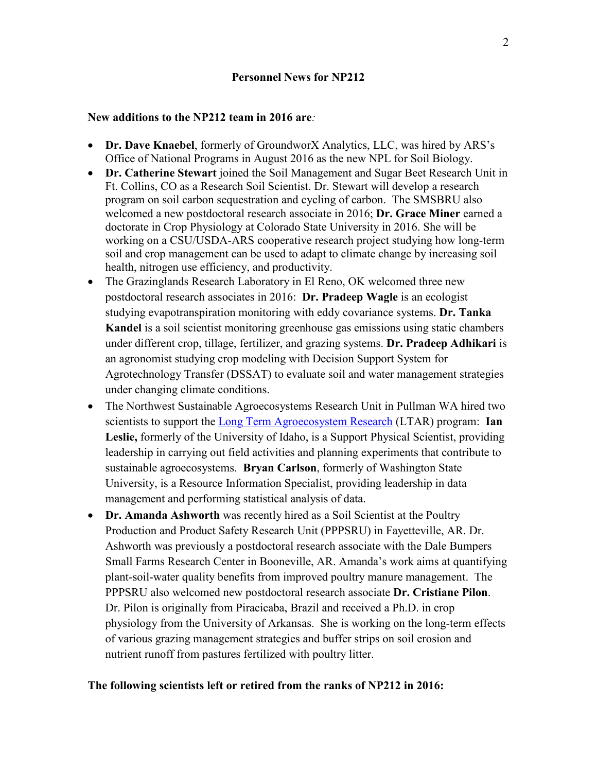# **New additions to the NP212 team in 2016 are***:*

- **Dr. Dave Knaebel**, formerly of GroundworX Analytics, LLC, was hired by ARS's Office of National Programs in August 2016 as the new NPL for Soil Biology.
- **Dr. Catherine Stewart** joined the Soil Management and Sugar Beet Research Unit in Ft. Collins, CO as a Research Soil Scientist. Dr. Stewart will develop a research program on soil carbon sequestration and cycling of carbon. The SMSBRU also welcomed a new postdoctoral research associate in 2016; **Dr. Grace Miner** earned a doctorate in Crop Physiology at Colorado State University in 2016. She will be working on a CSU/USDA-ARS cooperative research project studying how long-term soil and crop management can be used to adapt to climate change by increasing soil health, nitrogen use efficiency, and productivity.
- The Grazinglands Research Laboratory in El Reno, OK welcomed three new postdoctoral research associates in 2016: **Dr. Pradeep Wagle** is an ecologist studying evapotranspiration monitoring with eddy covariance systems. **Dr. Tanka Kandel** is a soil scientist monitoring greenhouse gas emissions using static chambers under different crop, tillage, fertilizer, and grazing systems. **Dr. Pradeep Adhikari** is an agronomist studying crop modeling with Decision Support System for Agrotechnology Transfer (DSSAT) to evaluate soil and water management strategies under changing climate conditions.
- The Northwest Sustainable Agroecosystems Research Unit in Pullman WA hired two scientists to support the Long Term [Agroecosystem](https://www.ars.usda.gov/.../long-term-agroecosystem-research-ltar-network/) Research (LTAR) program: **Ian Leslie,** formerly of the University of Idaho, is a Support Physical Scientist, providing leadership in carrying out field activities and planning experiments that contribute to sustainable agroecosystems. **Bryan Carlson**, formerly of Washington State University, is a Resource Information Specialist, providing leadership in data management and performing statistical analysis of data.
- **Dr. Amanda Ashworth** was recently hired as a Soil Scientist at the Poultry Production and Product Safety Research Unit (PPPSRU) in Fayetteville, AR. Dr. Ashworth was previously a postdoctoral research associate with the Dale Bumpers Small Farms Research Center in Booneville, AR. Amanda's work aims at quantifying plant-soil-water quality benefits from improved poultry manure management. The PPPSRU also welcomed new postdoctoral research associate **Dr. Cristiane Pilon**. Dr. Pilon is originally from Piracicaba, Brazil and received a Ph.D. in crop physiology from the University of Arkansas. She is working on the long-term effects of various grazing management strategies and buffer strips on soil erosion and nutrient runoff from pastures fertilized with poultry litter.

# **The following scientists left or retired from the ranks of NP212 in 2016:**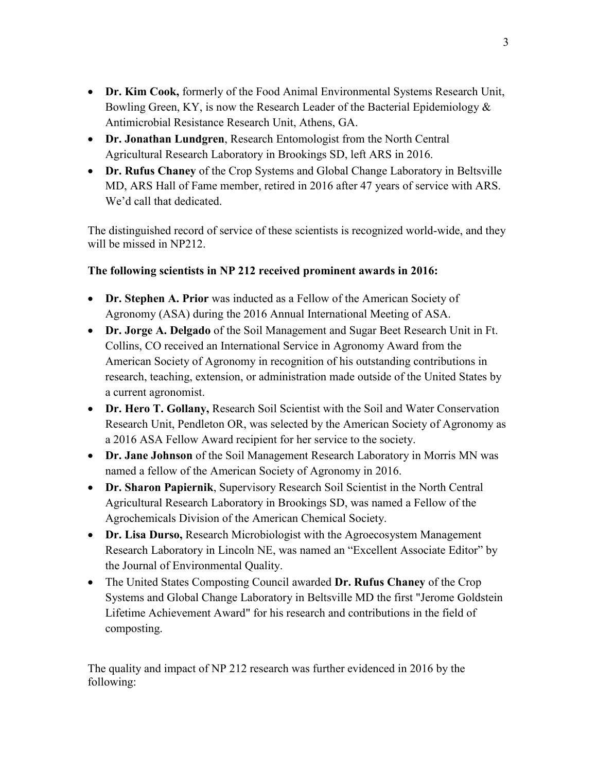- **Dr. Kim Cook,** formerly of the Food Animal Environmental Systems Research Unit, Bowling Green, KY, is now the Research Leader of the Bacterial Epidemiology & Antimicrobial Resistance Research Unit, Athens, GA.
- **Dr. Jonathan Lundgren**, Research Entomologist from the North Central Agricultural Research Laboratory in Brookings SD, left ARS in 2016.
- **Dr. Rufus Chaney** of the Crop Systems and Global Change Laboratory in Beltsville MD, ARS Hall of Fame member, retired in 2016 after 47 years of service with ARS. We'd call that dedicated.

The distinguished record of service of these scientists is recognized world-wide, and they will be missed in NP212.

# **The following scientists in NP 212 received prominent awards in 2016:**

- **Dr. Stephen A. Prior** was inducted as a Fellow of the American Society of Agronomy (ASA) during the 2016 Annual International Meeting of ASA.
- **Dr. Jorge A. Delgado** of the Soil Management and Sugar Beet Research Unit in Ft. Collins, CO received an International Service in Agronomy Award from the American Society of Agronomy in recognition of his outstanding contributions in research, teaching, extension, or administration made outside of the United States by a current agronomist.
- **Dr. Hero T. Gollany,** Research Soil Scientist with the Soil and Water Conservation Research Unit, Pendleton OR, was selected by the American Society of Agronomy as a 2016 ASA Fellow Award recipient for her service to the society.
- **Dr. Jane Johnson** of the Soil Management Research Laboratory in Morris MN was named a fellow of the American Society of Agronomy in 2016.
- **Dr. Sharon Papiernik**, Supervisory Research Soil Scientist in the North Central Agricultural Research Laboratory in Brookings SD, was named a Fellow of the Agrochemicals Division of the American Chemical Society.
- **Dr. Lisa Durso,** Research Microbiologist with the Agroecosystem Management Research Laboratory in Lincoln NE, was named an "Excellent Associate Editor" by the Journal of Environmental Quality.
- The United States Composting Council awarded **Dr. Rufus Chaney** of the Crop Systems and Global Change Laboratory in Beltsville MD the first "Jerome Goldstein Lifetime Achievement Award" for his research and contributions in the field of composting.

The quality and impact of NP 212 research was further evidenced in 2016 by the following: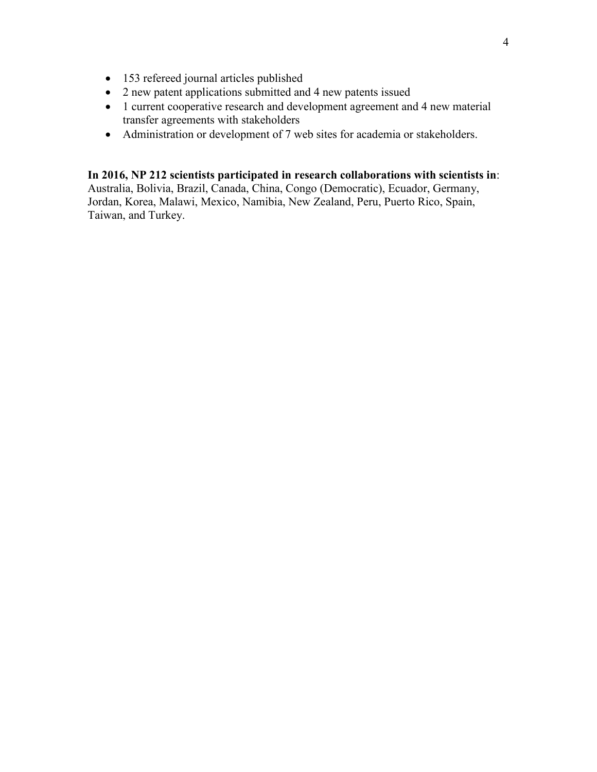- 153 refereed journal articles published
- 2 new patent applications submitted and 4 new patents issued
- 1 current cooperative research and development agreement and 4 new material transfer agreements with stakeholders
- Administration or development of 7 web sites for academia or stakeholders.

**In 2016, NP 212 scientists participated in research collaborations with scientists in**: Australia, Bolivia, Brazil, Canada, China, Congo (Democratic), Ecuador, Germany, Jordan, Korea, Malawi, Mexico, Namibia, New Zealand, Peru, Puerto Rico, Spain, Taiwan, and Turkey.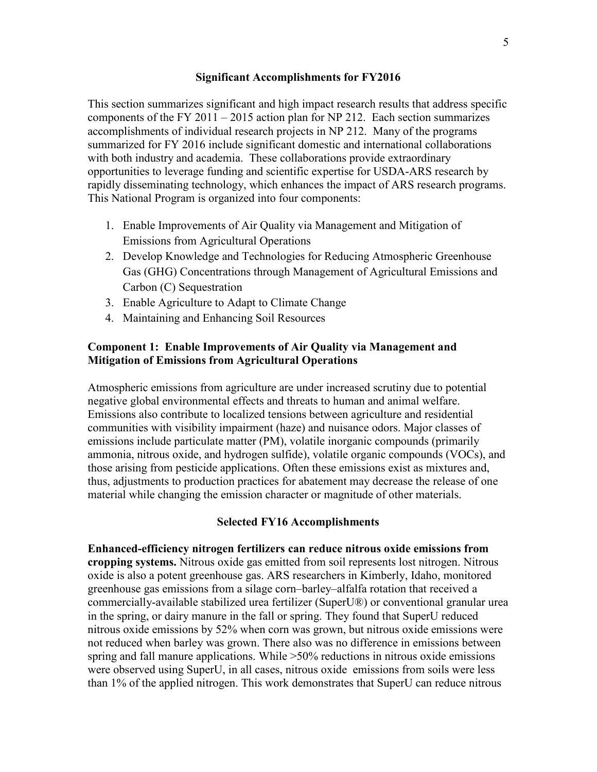### **Significant Accomplishments for FY2016**

This section summarizes significant and high impact research results that address specific components of the FY 2011 – 2015 action plan for NP 212. Each section summarizes accomplishments of individual research projects in NP 212. Many of the programs summarized for FY 2016 include significant domestic and international collaborations with both industry and academia. These collaborations provide extraordinary opportunities to leverage funding and scientific expertise for USDA-ARS research by rapidly disseminating technology, which enhances the impact of ARS research programs. This National Program is organized into four components:

- 1. Enable Improvements of Air Quality via Management and Mitigation of Emissions from Agricultural Operations
- 2. Develop Knowledge and Technologies for Reducing Atmospheric Greenhouse Gas (GHG) Concentrations through Management of Agricultural Emissions and Carbon (C) Sequestration
- 3. Enable Agriculture to Adapt to Climate Change
- 4. Maintaining and Enhancing Soil Resources

# **Component 1: Enable Improvements of Air Quality via Management and Mitigation of Emissions from Agricultural Operations**

Atmospheric emissions from agriculture are under increased scrutiny due to potential negative global environmental effects and threats to human and animal welfare. Emissions also contribute to localized tensions between agriculture and residential communities with visibility impairment (haze) and nuisance odors. Major classes of emissions include particulate matter (PM), volatile inorganic compounds (primarily ammonia, nitrous oxide, and hydrogen sulfide), volatile organic compounds (VOCs), and those arising from pesticide applications. Often these emissions exist as mixtures and, thus, adjustments to production practices for abatement may decrease the release of one material while changing the emission character or magnitude of other materials.

### **Selected FY16 Accomplishments**

**Enhanced-efficiency nitrogen fertilizers can reduce nitrous oxide emissions from cropping systems.** Nitrous oxide gas emitted from soil represents lost nitrogen. Nitrous oxide is also a potent greenhouse gas. ARS researchers in Kimberly, Idaho, monitored greenhouse gas emissions from a silage corn–barley–alfalfa rotation that received a commercially-available stabilized urea fertilizer (SuperU®) or conventional granular urea in the spring, or dairy manure in the fall or spring. They found that SuperU reduced nitrous oxide emissions by 52% when corn was grown, but nitrous oxide emissions were not reduced when barley was grown. There also was no difference in emissions between spring and fall manure applications. While >50% reductions in nitrous oxide emissions were observed using SuperU, in all cases, nitrous oxide emissions from soils were less than 1% of the applied nitrogen. This work demonstrates that SuperU can reduce nitrous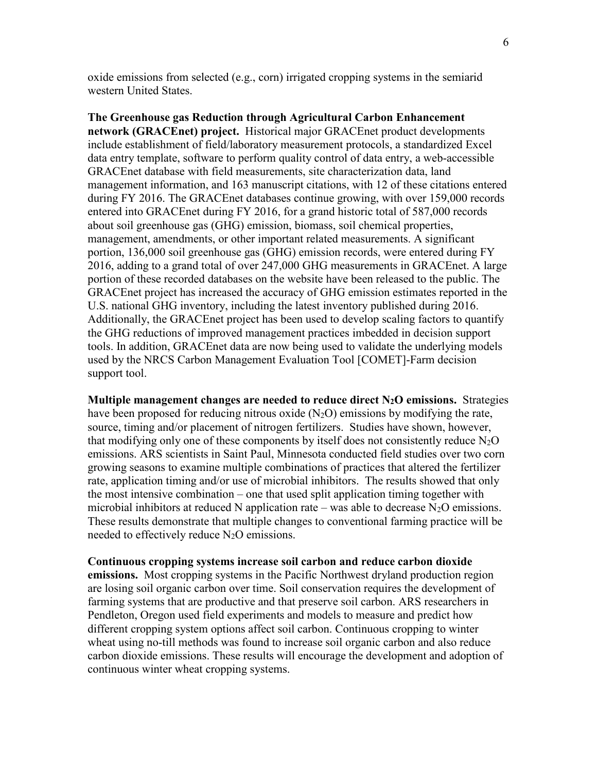oxide emissions from selected (e.g., corn) irrigated cropping systems in the semiarid western United States.

**The Greenhouse gas Reduction through Agricultural Carbon Enhancement network (GRACEnet) project.** Historical major GRACEnet product developments include establishment of field/laboratory measurement protocols, a standardized Excel data entry template, software to perform quality control of data entry, a web-accessible GRACEnet database with field measurements, site characterization data, land management information, and 163 manuscript citations, with 12 of these citations entered during FY 2016. The GRACEnet databases continue growing, with over 159,000 records entered into GRACEnet during FY 2016, for a grand historic total of 587,000 records about soil greenhouse gas (GHG) emission, biomass, soil chemical properties, management, amendments, or other important related measurements. A significant portion, 136,000 soil greenhouse gas (GHG) emission records, were entered during FY 2016, adding to a grand total of over 247,000 GHG measurements in GRACEnet. A large portion of these recorded databases on the website have been released to the public. The GRACEnet project has increased the accuracy of GHG emission estimates reported in the U.S. national GHG inventory, including the latest inventory published during 2016. Additionally, the GRACEnet project has been used to develop scaling factors to quantify the GHG reductions of improved management practices imbedded in decision support tools. In addition, GRACEnet data are now being used to validate the underlying models used by the NRCS Carbon Management Evaluation Tool [COMET]-Farm decision support tool.

**Multiple management changes are needed to reduce direct N2O emissions.** Strategies have been proposed for reducing nitrous oxide  $(N_2O)$  emissions by modifying the rate, source, timing and/or placement of nitrogen fertilizers. Studies have shown, however, that modifying only one of these components by itself does not consistently reduce  $N_2O$ emissions. ARS scientists in Saint Paul, Minnesota conducted field studies over two corn growing seasons to examine multiple combinations of practices that altered the fertilizer rate, application timing and/or use of microbial inhibitors. The results showed that only the most intensive combination – one that used split application timing together with microbial inhibitors at reduced N application rate – was able to decrease  $N_2O$  emissions. These results demonstrate that multiple changes to conventional farming practice will be needed to effectively reduce  $N_2O$  emissions.

#### **Continuous cropping systems increase soil carbon and reduce carbon dioxide**

**emissions.** Most cropping systems in the Pacific Northwest dryland production region are losing soil organic carbon over time. Soil conservation requires the development of farming systems that are productive and that preserve soil carbon. ARS researchers in Pendleton, Oregon used field experiments and models to measure and predict how different cropping system options affect soil carbon. Continuous cropping to winter wheat using no-till methods was found to increase soil organic carbon and also reduce carbon dioxide emissions. These results will encourage the development and adoption of continuous winter wheat cropping systems.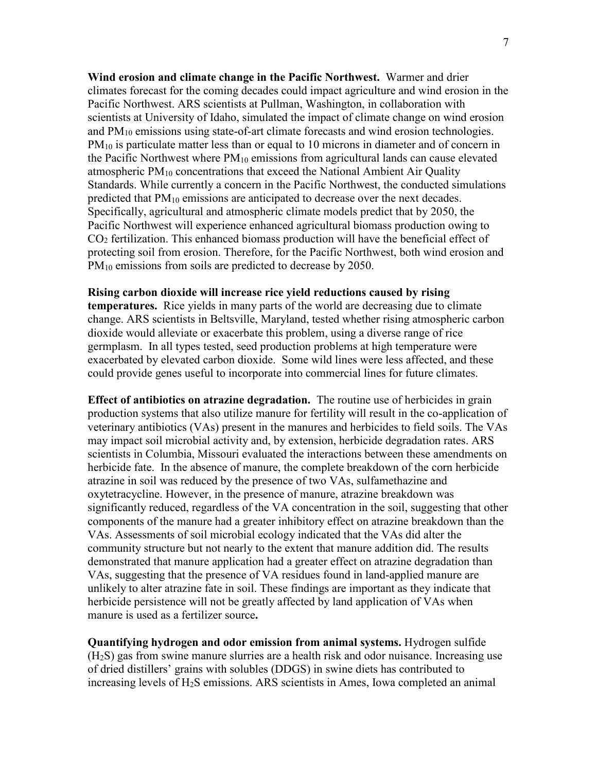**Wind erosion and climate change in the Pacific Northwest.** Warmer and drier climates forecast for the coming decades could impact agriculture and wind erosion in the Pacific Northwest. ARS scientists at Pullman, Washington, in collaboration with scientists at University of Idaho, simulated the impact of climate change on wind erosion and  $PM_{10}$  emissions using state-of-art climate forecasts and wind erosion technologies. PM<sub>10</sub> is particulate matter less than or equal to 10 microns in diameter and of concern in the Pacific Northwest where  $PM_{10}$  emissions from agricultural lands can cause elevated atmospheric  $PM_{10}$  concentrations that exceed the National Ambient Air Quality Standards. While currently a concern in the Pacific Northwest, the conducted simulations predicted that  $PM_{10}$  emissions are anticipated to decrease over the next decades. Specifically, agricultural and atmospheric climate models predict that by 2050, the Pacific Northwest will experience enhanced agricultural biomass production owing to  $CO<sub>2</sub>$  fertilization. This enhanced biomass production will have the beneficial effect of protecting soil from erosion. Therefore, for the Pacific Northwest, both wind erosion and PM<sub>10</sub> emissions from soils are predicted to decrease by 2050.

### **Rising carbon dioxide will increase rice yield reductions caused by rising**

**temperatures.** Rice yields in many parts of the world are decreasing due to climate change. ARS scientists in Beltsville, Maryland, tested whether rising atmospheric carbon dioxide would alleviate or exacerbate this problem, using a diverse range of rice germplasm. In all types tested, seed production problems at high temperature were exacerbated by elevated carbon dioxide. Some wild lines were less affected, and these could provide genes useful to incorporate into commercial lines for future climates.

**Effect of antibiotics on atrazine degradation.** The routine use of herbicides in grain production systems that also utilize manure for fertility will result in the co-application of veterinary antibiotics (VAs) present in the manures and herbicides to field soils. The VAs may impact soil microbial activity and, by extension, herbicide degradation rates. ARS scientists in Columbia, Missouri evaluated the interactions between these amendments on herbicide fate. In the absence of manure, the complete breakdown of the corn herbicide atrazine in soil was reduced by the presence of two VAs, sulfamethazine and oxytetracycline. However, in the presence of manure, atrazine breakdown was significantly reduced, regardless of the VA concentration in the soil, suggesting that other components of the manure had a greater inhibitory effect on atrazine breakdown than the VAs. Assessments of soil microbial ecology indicated that the VAs did alter the community structure but not nearly to the extent that manure addition did. The results demonstrated that manure application had a greater effect on atrazine degradation than VAs, suggesting that the presence of VA residues found in land-applied manure are unlikely to alter atrazine fate in soil. These findings are important as they indicate that herbicide persistence will not be greatly affected by land application of VAs when manure is used as a fertilizer source**.**

**Quantifying hydrogen and odor emission from animal systems.** Hydrogen sulfide (H2S) gas from swine manure slurries are a health risk and odor nuisance. Increasing use of dried distillers' grains with solubles (DDGS) in swine diets has contributed to increasing levels of H2S emissions. ARS scientists in Ames, Iowa completed an animal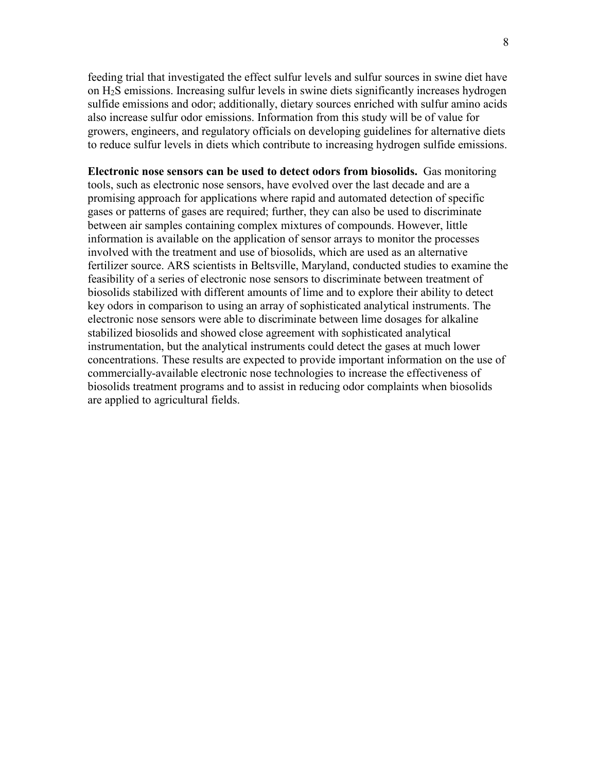feeding trial that investigated the effect sulfur levels and sulfur sources in swine diet have on H2S emissions. Increasing sulfur levels in swine diets significantly increases hydrogen sulfide emissions and odor; additionally, dietary sources enriched with sulfur amino acids also increase sulfur odor emissions. Information from this study will be of value for growers, engineers, and regulatory officials on developing guidelines for alternative diets to reduce sulfur levels in diets which contribute to increasing hydrogen sulfide emissions.

**Electronic nose sensors can be used to detect odors from biosolids.** Gas monitoring tools, such as electronic nose sensors, have evolved over the last decade and are a promising approach for applications where rapid and automated detection of specific gases or patterns of gases are required; further, they can also be used to discriminate between air samples containing complex mixtures of compounds. However, little information is available on the application of sensor arrays to monitor the processes involved with the treatment and use of biosolids, which are used as an alternative fertilizer source. ARS scientists in Beltsville, Maryland, conducted studies to examine the feasibility of a series of electronic nose sensors to discriminate between treatment of biosolids stabilized with different amounts of lime and to explore their ability to detect key odors in comparison to using an array of sophisticated analytical instruments. The electronic nose sensors were able to discriminate between lime dosages for alkaline stabilized biosolids and showed close agreement with sophisticated analytical instrumentation, but the analytical instruments could detect the gases at much lower concentrations. These results are expected to provide important information on the use of commercially-available electronic nose technologies to increase the effectiveness of biosolids treatment programs and to assist in reducing odor complaints when biosolids are applied to agricultural fields.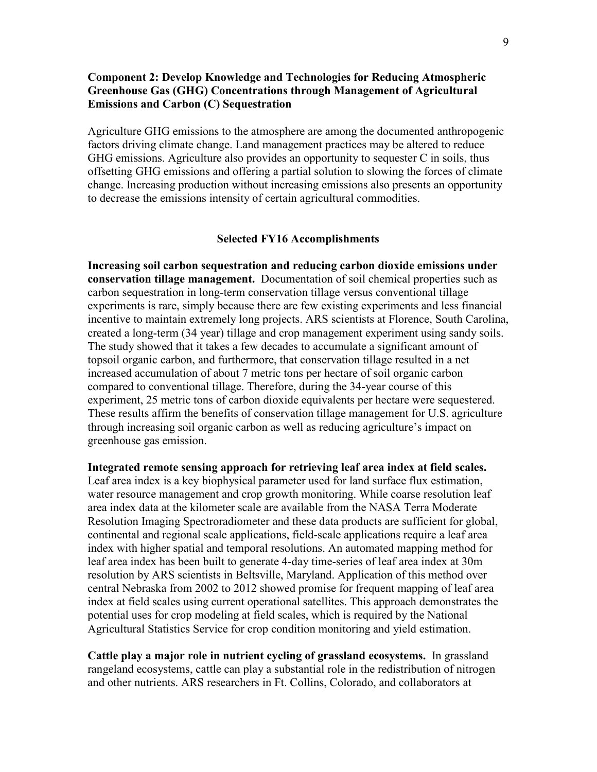# **Component 2: Develop Knowledge and Technologies for Reducing Atmospheric Greenhouse Gas (GHG) Concentrations through Management of Agricultural Emissions and Carbon (C) Sequestration**

Agriculture GHG emissions to the atmosphere are among the documented anthropogenic factors driving climate change. Land management practices may be altered to reduce GHG emissions. Agriculture also provides an opportunity to sequester C in soils, thus offsetting GHG emissions and offering a partial solution to slowing the forces of climate change. Increasing production without increasing emissions also presents an opportunity to decrease the emissions intensity of certain agricultural commodities.

### **Selected FY16 Accomplishments**

**Increasing soil carbon sequestration and reducing carbon dioxide emissions under conservation tillage management.** Documentation of soil chemical properties such as carbon sequestration in long-term conservation tillage versus conventional tillage experiments is rare, simply because there are few existing experiments and less financial incentive to maintain extremely long projects. ARS scientists at Florence, South Carolina, created a long-term (34 year) tillage and crop management experiment using sandy soils. The study showed that it takes a few decades to accumulate a significant amount of topsoil organic carbon, and furthermore, that conservation tillage resulted in a net increased accumulation of about 7 metric tons per hectare of soil organic carbon compared to conventional tillage. Therefore, during the 34-year course of this experiment, 25 metric tons of carbon dioxide equivalents per hectare were sequestered. These results affirm the benefits of conservation tillage management for U.S. agriculture through increasing soil organic carbon as well as reducing agriculture's impact on greenhouse gas emission.

**Integrated remote sensing approach for retrieving leaf area index at field scales.** Leaf area index is a key biophysical parameter used for land surface flux estimation, water resource management and crop growth monitoring. While coarse resolution leaf area index data at the kilometer scale are available from the NASA Terra Moderate Resolution Imaging Spectroradiometer and these data products are sufficient for global, continental and regional scale applications, field-scale applications require a leaf area index with higher spatial and temporal resolutions. An automated mapping method for leaf area index has been built to generate 4-day time-series of leaf area index at 30m resolution by ARS scientists in Beltsville, Maryland. Application of this method over central Nebraska from 2002 to 2012 showed promise for frequent mapping of leaf area index at field scales using current operational satellites. This approach demonstrates the potential uses for crop modeling at field scales, which is required by the National Agricultural Statistics Service for crop condition monitoring and yield estimation.

**Cattle play a major role in nutrient cycling of grassland ecosystems.** In grassland rangeland ecosystems, cattle can play a substantial role in the redistribution of nitrogen and other nutrients. ARS researchers in Ft. Collins, Colorado, and collaborators at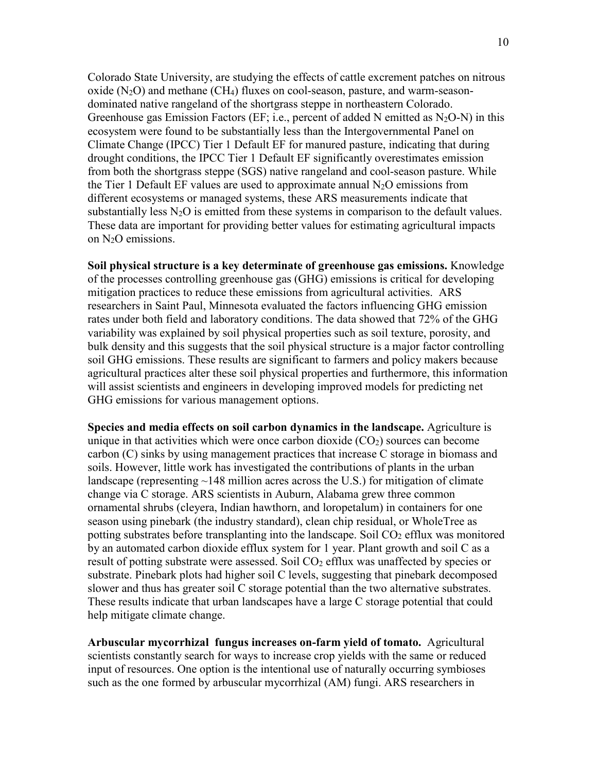Colorado State University, are studying the effects of cattle excrement patches on nitrous oxide  $(N_2O)$  and methane (CH<sub>4</sub>) fluxes on cool-season, pasture, and warm-seasondominated native rangeland of the shortgrass steppe in northeastern Colorado. Greenhouse gas Emission Factors (EF; i.e., percent of added N emitted as  $N_2O-N$ ) in this ecosystem were found to be substantially less than the Intergovernmental Panel on Climate Change (IPCC) Tier 1 Default EF for manured pasture, indicating that during drought conditions, the IPCC Tier 1 Default EF significantly overestimates emission from both the shortgrass steppe (SGS) native rangeland and cool-season pasture. While the Tier 1 Default EF values are used to approximate annual  $N_2O$  emissions from different ecosystems or managed systems, these ARS measurements indicate that substantially less  $N_2O$  is emitted from these systems in comparison to the default values. These data are important for providing better values for estimating agricultural impacts on N2O emissions.

**Soil physical structure is a key determinate of greenhouse gas emissions.** Knowledge of the processes controlling greenhouse gas (GHG) emissions is critical for developing mitigation practices to reduce these emissions from agricultural activities. ARS researchers in Saint Paul, Minnesota evaluated the factors influencing GHG emission rates under both field and laboratory conditions. The data showed that 72% of the GHG variability was explained by soil physical properties such as soil texture, porosity, and bulk density and this suggests that the soil physical structure is a major factor controlling soil GHG emissions. These results are significant to farmers and policy makers because agricultural practices alter these soil physical properties and furthermore, this information will assist scientists and engineers in developing improved models for predicting net GHG emissions for various management options.

**Species and media effects on soil carbon dynamics in the landscape.** Agriculture is unique in that activities which were once carbon dioxide  $(CO<sub>2</sub>)$  sources can become carbon (C) sinks by using management practices that increase C storage in biomass and soils. However, little work has investigated the contributions of plants in the urban landscape (representing  $\sim$ 148 million acres across the U.S.) for mitigation of climate change via C storage. ARS scientists in Auburn, Alabama grew three common ornamental shrubs (cleyera, Indian hawthorn, and loropetalum) in containers for one season using pinebark (the industry standard), clean chip residual, or WholeTree as potting substrates before transplanting into the landscape. Soil  $CO<sub>2</sub>$  efflux was monitored by an automated carbon dioxide efflux system for 1 year. Plant growth and soil C as a result of potting substrate were assessed. Soil  $CO<sub>2</sub>$  efflux was unaffected by species or substrate. Pinebark plots had higher soil C levels, suggesting that pinebark decomposed slower and thus has greater soil C storage potential than the two alternative substrates. These results indicate that urban landscapes have a large C storage potential that could help mitigate climate change.

**Arbuscular mycorrhizal fungus increases on-farm yield of tomato.** Agricultural scientists constantly search for ways to increase crop yields with the same or reduced input of resources. One option is the intentional use of naturally occurring symbioses such as the one formed by arbuscular mycorrhizal (AM) fungi. ARS researchers in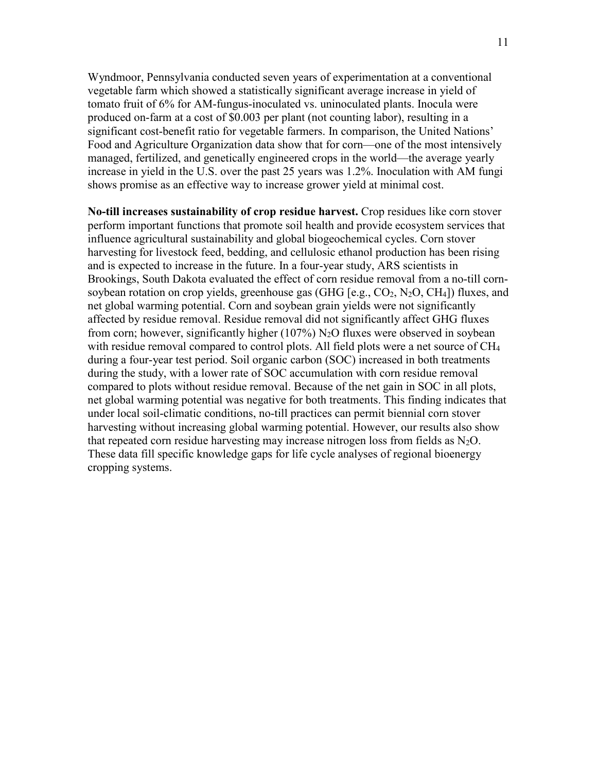Wyndmoor, Pennsylvania conducted seven years of experimentation at a conventional vegetable farm which showed a statistically significant average increase in yield of tomato fruit of 6% for AM-fungus-inoculated vs. uninoculated plants. Inocula were produced on-farm at a cost of \$0.003 per plant (not counting labor), resulting in a significant cost-benefit ratio for vegetable farmers. In comparison, the United Nations' Food and Agriculture Organization data show that for corn—one of the most intensively managed, fertilized, and genetically engineered crops in the world—the average yearly increase in yield in the U.S. over the past 25 years was 1.2%. Inoculation with AM fungi shows promise as an effective way to increase grower yield at minimal cost.

**No-till increases sustainability of crop residue harvest.** Crop residues like corn stover perform important functions that promote soil health and provide ecosystem services that influence agricultural sustainability and global biogeochemical cycles. Corn stover harvesting for livestock feed, bedding, and cellulosic ethanol production has been rising and is expected to increase in the future. In a four-year study, ARS scientists in Brookings, South Dakota evaluated the effect of corn residue removal from a no-till cornsoybean rotation on crop yields, greenhouse gas (GHG  $[e.g., CO<sub>2</sub>, N<sub>2</sub>O, CH<sub>4</sub>]$ ) fluxes, and net global warming potential. Corn and soybean grain yields were not significantly affected by residue removal. Residue removal did not significantly affect GHG fluxes from corn; however, significantly higher (107%)  $N_2O$  fluxes were observed in soybean with residue removal compared to control plots. All field plots were a net source of CH<sub>4</sub> during a four-year test period. Soil organic carbon (SOC) increased in both treatments during the study, with a lower rate of SOC accumulation with corn residue removal compared to plots without residue removal. Because of the net gain in SOC in all plots, net global warming potential was negative for both treatments. This finding indicates that under local soil-climatic conditions, no-till practices can permit biennial corn stover harvesting without increasing global warming potential. However, our results also show that repeated corn residue harvesting may increase nitrogen loss from fields as  $N_2O$ . These data fill specific knowledge gaps for life cycle analyses of regional bioenergy cropping systems.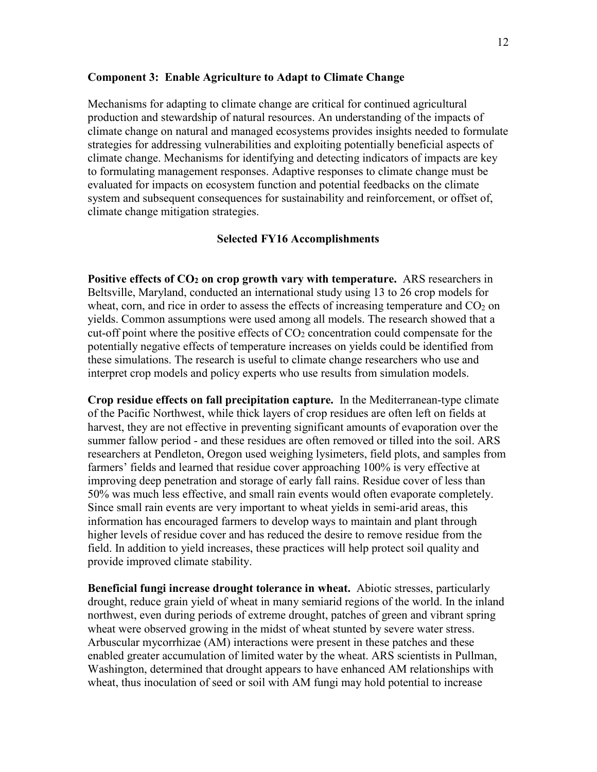### **Component 3: Enable Agriculture to Adapt to Climate Change**

Mechanisms for adapting to climate change are critical for continued agricultural production and stewardship of natural resources. An understanding of the impacts of climate change on natural and managed ecosystems provides insights needed to formulate strategies for addressing vulnerabilities and exploiting potentially beneficial aspects of climate change. Mechanisms for identifying and detecting indicators of impacts are key to formulating management responses. Adaptive responses to climate change must be evaluated for impacts on ecosystem function and potential feedbacks on the climate system and subsequent consequences for sustainability and reinforcement, or offset of, climate change mitigation strategies.

### **Selected FY16 Accomplishments**

**Positive effects of CO2 on crop growth vary with temperature.** ARS researchers in Beltsville, Maryland, conducted an international study using 13 to 26 crop models for wheat, corn, and rice in order to assess the effects of increasing temperature and  $CO<sub>2</sub>$  on yields. Common assumptions were used among all models. The research showed that a cut-off point where the positive effects of  $CO<sub>2</sub>$  concentration could compensate for the potentially negative effects of temperature increases on yields could be identified from these simulations. The research is useful to climate change researchers who use and interpret crop models and policy experts who use results from simulation models.

**Crop residue effects on fall precipitation capture.** In the Mediterranean-type climate of the Pacific Northwest, while thick layers of crop residues are often left on fields at harvest, they are not effective in preventing significant amounts of evaporation over the summer fallow period - and these residues are often removed or tilled into the soil. ARS researchers at Pendleton, Oregon used weighing lysimeters, field plots, and samples from farmers' fields and learned that residue cover approaching 100% is very effective at improving deep penetration and storage of early fall rains. Residue cover of less than 50% was much less effective, and small rain events would often evaporate completely. Since small rain events are very important to wheat yields in semi-arid areas, this information has encouraged farmers to develop ways to maintain and plant through higher levels of residue cover and has reduced the desire to remove residue from the field. In addition to yield increases, these practices will help protect soil quality and provide improved climate stability.

**Beneficial fungi increase drought tolerance in wheat.** Abiotic stresses, particularly drought, reduce grain yield of wheat in many semiarid regions of the world. In the inland northwest, even during periods of extreme drought, patches of green and vibrant spring wheat were observed growing in the midst of wheat stunted by severe water stress. Arbuscular mycorrhizae (AM) interactions were present in these patches and these enabled greater accumulation of limited water by the wheat. ARS scientists in Pullman, Washington, determined that drought appears to have enhanced AM relationships with wheat, thus inoculation of seed or soil with AM fungi may hold potential to increase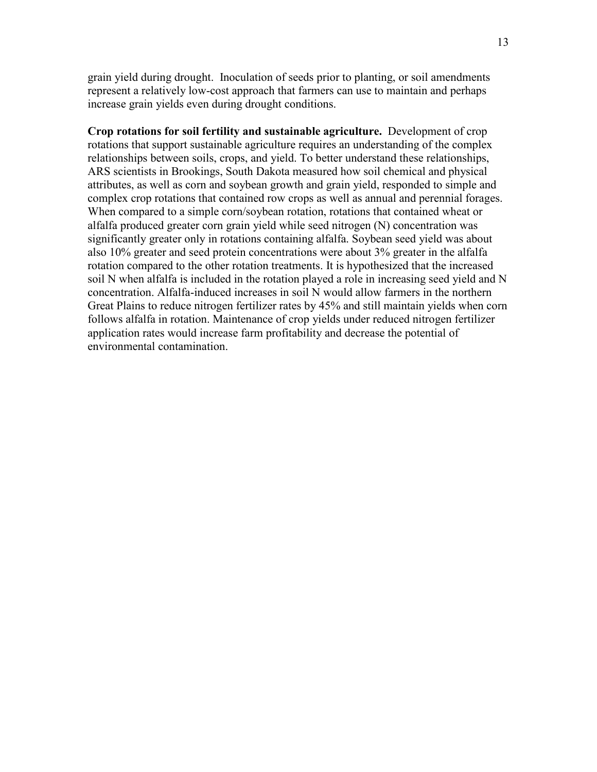grain yield during drought. Inoculation of seeds prior to planting, or soil amendments represent a relatively low-cost approach that farmers can use to maintain and perhaps increase grain yields even during drought conditions.

**Crop rotations for soil fertility and sustainable agriculture.** Development of crop rotations that support sustainable agriculture requires an understanding of the complex relationships between soils, crops, and yield. To better understand these relationships, ARS scientists in Brookings, South Dakota measured how soil chemical and physical attributes, as well as corn and soybean growth and grain yield, responded to simple and complex crop rotations that contained row crops as well as annual and perennial forages. When compared to a simple corn/soybean rotation, rotations that contained wheat or alfalfa produced greater corn grain yield while seed nitrogen (N) concentration was significantly greater only in rotations containing alfalfa. Soybean seed yield was about also 10% greater and seed protein concentrations were about 3% greater in the alfalfa rotation compared to the other rotation treatments. It is hypothesized that the increased soil N when alfalfa is included in the rotation played a role in increasing seed yield and N concentration. Alfalfa-induced increases in soil N would allow farmers in the northern Great Plains to reduce nitrogen fertilizer rates by 45% and still maintain yields when corn follows alfalfa in rotation. Maintenance of crop yields under reduced nitrogen fertilizer application rates would increase farm profitability and decrease the potential of environmental contamination.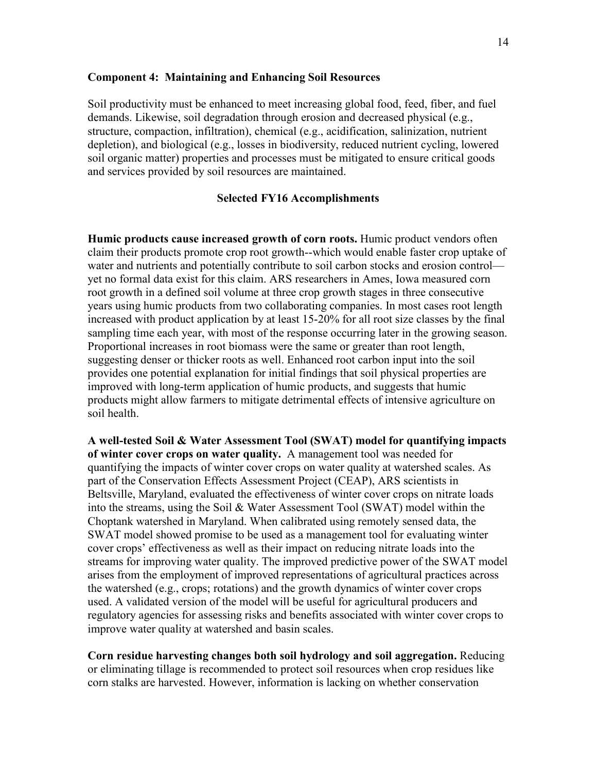### **Component 4: Maintaining and Enhancing Soil Resources**

Soil productivity must be enhanced to meet increasing global food, feed, fiber, and fuel demands. Likewise, soil degradation through erosion and decreased physical (e.g., structure, compaction, infiltration), chemical (e.g., acidification, salinization, nutrient depletion), and biological (e.g., losses in biodiversity, reduced nutrient cycling, lowered soil organic matter) properties and processes must be mitigated to ensure critical goods and services provided by soil resources are maintained.

### **Selected FY16 Accomplishments**

**Humic products cause increased growth of corn roots.** Humic product vendors often claim their products promote crop root growth--which would enable faster crop uptake of water and nutrients and potentially contribute to soil carbon stocks and erosion control yet no formal data exist for this claim. ARS researchers in Ames, Iowa measured corn root growth in a defined soil volume at three crop growth stages in three consecutive years using humic products from two collaborating companies. In most cases root length increased with product application by at least 15-20% for all root size classes by the final sampling time each year, with most of the response occurring later in the growing season. Proportional increases in root biomass were the same or greater than root length, suggesting denser or thicker roots as well. Enhanced root carbon input into the soil provides one potential explanation for initial findings that soil physical properties are improved with long-term application of humic products, and suggests that humic products might allow farmers to mitigate detrimental effects of intensive agriculture on soil health.

**A well-tested Soil & Water Assessment Tool (SWAT) model for quantifying impacts of winter cover crops on water quality.** A management tool was needed for quantifying the impacts of winter cover crops on water quality at watershed scales. As part of the Conservation Effects Assessment Project (CEAP), ARS scientists in Beltsville, Maryland, evaluated the effectiveness of winter cover crops on nitrate loads into the streams, using the Soil & Water Assessment Tool (SWAT) model within the Choptank watershed in Maryland. When calibrated using remotely sensed data, the SWAT model showed promise to be used as a management tool for evaluating winter cover crops' effectiveness as well as their impact on reducing nitrate loads into the streams for improving water quality. The improved predictive power of the SWAT model arises from the employment of improved representations of agricultural practices across the watershed (e.g., crops; rotations) and the growth dynamics of winter cover crops used. A validated version of the model will be useful for agricultural producers and regulatory agencies for assessing risks and benefits associated with winter cover crops to improve water quality at watershed and basin scales.

**Corn residue harvesting changes both soil hydrology and soil aggregation.** Reducing or eliminating tillage is recommended to protect soil resources when crop residues like corn stalks are harvested. However, information is lacking on whether conservation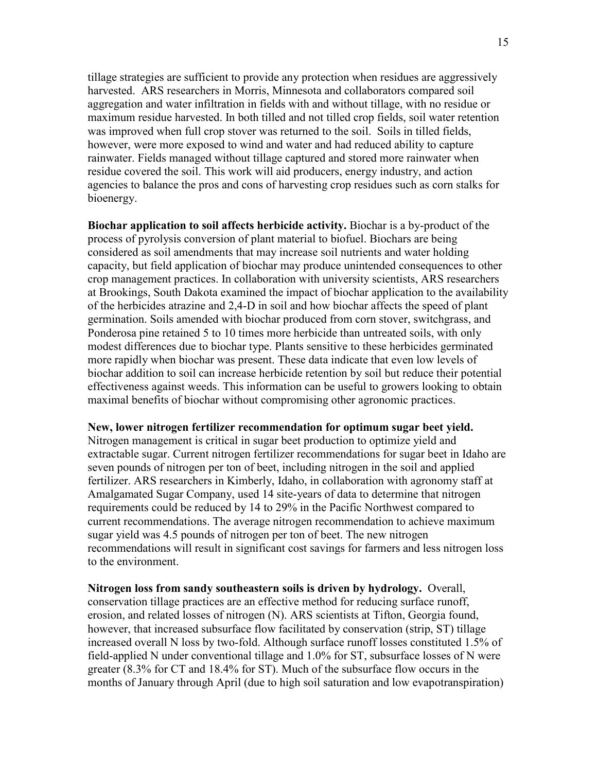tillage strategies are sufficient to provide any protection when residues are aggressively harvested. ARS researchers in Morris, Minnesota and collaborators compared soil aggregation and water infiltration in fields with and without tillage, with no residue or maximum residue harvested. In both tilled and not tilled crop fields, soil water retention was improved when full crop stover was returned to the soil. Soils in tilled fields, however, were more exposed to wind and water and had reduced ability to capture rainwater. Fields managed without tillage captured and stored more rainwater when residue covered the soil. This work will aid producers, energy industry, and action agencies to balance the pros and cons of harvesting crop residues such as corn stalks for bioenergy.

**Biochar application to soil affects herbicide activity.** Biochar is a by-product of the process of pyrolysis conversion of plant material to biofuel. Biochars are being considered as soil amendments that may increase soil nutrients and water holding capacity, but field application of biochar may produce unintended consequences to other crop management practices. In collaboration with university scientists, ARS researchers at Brookings, South Dakota examined the impact of biochar application to the availability of the herbicides atrazine and 2,4-D in soil and how biochar affects the speed of plant germination. Soils amended with biochar produced from corn stover, switchgrass, and Ponderosa pine retained 5 to 10 times more herbicide than untreated soils, with only modest differences due to biochar type. Plants sensitive to these herbicides germinated more rapidly when biochar was present. These data indicate that even low levels of biochar addition to soil can increase herbicide retention by soil but reduce their potential effectiveness against weeds. This information can be useful to growers looking to obtain maximal benefits of biochar without compromising other agronomic practices.

#### **New, lower nitrogen fertilizer recommendation for optimum sugar beet yield.**

Nitrogen management is critical in sugar beet production to optimize yield and extractable sugar. Current nitrogen fertilizer recommendations for sugar beet in Idaho are seven pounds of nitrogen per ton of beet, including nitrogen in the soil and applied fertilizer. ARS researchers in Kimberly, Idaho, in collaboration with agronomy staff at Amalgamated Sugar Company, used 14 site-years of data to determine that nitrogen requirements could be reduced by 14 to 29% in the Pacific Northwest compared to current recommendations. The average nitrogen recommendation to achieve maximum sugar yield was 4.5 pounds of nitrogen per ton of beet. The new nitrogen recommendations will result in significant cost savings for farmers and less nitrogen loss to the environment.

**Nitrogen loss from sandy southeastern soils is driven by hydrology.** Overall, conservation tillage practices are an effective method for reducing surface runoff, erosion, and related losses of nitrogen (N). ARS scientists at Tifton, Georgia found, however, that increased subsurface flow facilitated by conservation (strip, ST) tillage increased overall N loss by two-fold. Although surface runoff losses constituted 1.5% of field-applied N under conventional tillage and 1.0% for ST, subsurface losses of N were greater (8.3% for CT and 18.4% for ST). Much of the subsurface flow occurs in the months of January through April (due to high soil saturation and low evapotranspiration)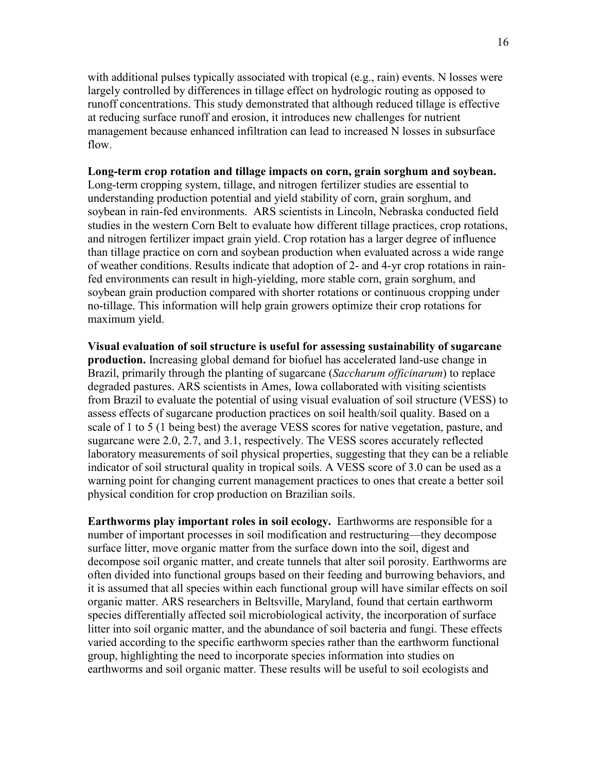with additional pulses typically associated with tropical (e.g., rain) events. N losses were largely controlled by differences in tillage effect on hydrologic routing as opposed to runoff concentrations. This study demonstrated that although reduced tillage is effective at reducing surface runoff and erosion, it introduces new challenges for nutrient management because enhanced infiltration can lead to increased N losses in subsurface flow.

# **Long-term crop rotation and tillage impacts on corn, grain sorghum and soybean.**

Long-term cropping system, tillage, and nitrogen fertilizer studies are essential to understanding production potential and yield stability of corn, grain sorghum, and soybean in rain-fed environments. ARS scientists in Lincoln, Nebraska conducted field studies in the western Corn Belt to evaluate how different tillage practices, crop rotations, and nitrogen fertilizer impact grain yield. Crop rotation has a larger degree of influence than tillage practice on corn and soybean production when evaluated across a wide range of weather conditions. Results indicate that adoption of 2- and 4-yr crop rotations in rainfed environments can result in high-yielding, more stable corn, grain sorghum, and soybean grain production compared with shorter rotations or continuous cropping under no-tillage. This information will help grain growers optimize their crop rotations for maximum yield.

**Visual evaluation of soil structure is useful for assessing sustainability of sugarcane production.** Increasing global demand for biofuel has accelerated land-use change in Brazil, primarily through the planting of sugarcane (*Saccharum officinarum*) to replace degraded pastures. ARS scientists in Ames, Iowa collaborated with visiting scientists from Brazil to evaluate the potential of using visual evaluation of soil structure (VESS) to assess effects of sugarcane production practices on soil health/soil quality. Based on a scale of 1 to 5 (1 being best) the average VESS scores for native vegetation, pasture, and sugarcane were 2.0, 2.7, and 3.1, respectively. The VESS scores accurately reflected laboratory measurements of soil physical properties, suggesting that they can be a reliable indicator of soil structural quality in tropical soils. A VESS score of 3.0 can be used as a warning point for changing current management practices to ones that create a better soil physical condition for crop production on Brazilian soils.

**Earthworms play important roles in soil ecology.** Earthworms are responsible for a number of important processes in soil modification and restructuring—they decompose surface litter, move organic matter from the surface down into the soil, digest and decompose soil organic matter, and create tunnels that alter soil porosity. Earthworms are often divided into functional groups based on their feeding and burrowing behaviors, and it is assumed that all species within each functional group will have similar effects on soil organic matter. ARS researchers in Beltsville, Maryland, found that certain earthworm species differentially affected soil microbiological activity, the incorporation of surface litter into soil organic matter, and the abundance of soil bacteria and fungi. These effects varied according to the specific earthworm species rather than the earthworm functional group, highlighting the need to incorporate species information into studies on earthworms and soil organic matter. These results will be useful to soil ecologists and